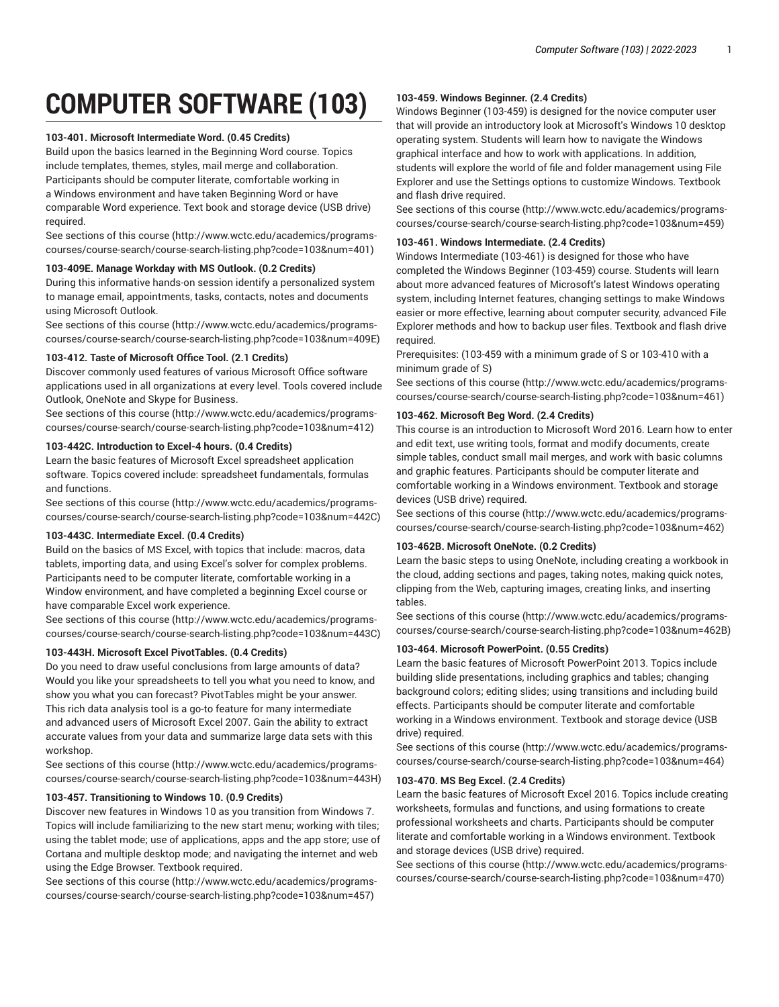# **COMPUTER SOFTWARE (103)**

# **103-401. Microsoft Intermediate Word. (0.45 Credits)**

Build upon the basics learned in the Beginning Word course. Topics include templates, themes, styles, mail merge and collaboration. Participants should be computer literate, comfortable working in a Windows environment and have taken Beginning Word or have comparable Word experience. Text book and storage device (USB drive) required.

[See sections of this course](http://www.wctc.edu/academics/programs-courses/course-search/course-search-listing.php?code=103&num=401) ([http://www.wctc.edu/academics/programs](http://www.wctc.edu/academics/programs-courses/course-search/course-search-listing.php?code=103&num=401)[courses/course-search/course-search-listing.php?code=103&num=401](http://www.wctc.edu/academics/programs-courses/course-search/course-search-listing.php?code=103&num=401))

## **103-409E. Manage Workday with MS Outlook. (0.2 Credits)**

During this informative hands-on session identify a personalized system to manage email, appointments, tasks, contacts, notes and documents using Microsoft Outlook.

[See sections of this course](http://www.wctc.edu/academics/programs-courses/course-search/course-search-listing.php?code=103&num=409E) ([http://www.wctc.edu/academics/programs](http://www.wctc.edu/academics/programs-courses/course-search/course-search-listing.php?code=103&num=409E)[courses/course-search/course-search-listing.php?code=103&num=409E](http://www.wctc.edu/academics/programs-courses/course-search/course-search-listing.php?code=103&num=409E))

## **103-412. Taste of Microsoft Office Tool. (2.1 Credits)**

Discover commonly used features of various Microsoft Office software applications used in all organizations at every level. Tools covered include Outlook, OneNote and Skype for Business.

[See sections of this course](http://www.wctc.edu/academics/programs-courses/course-search/course-search-listing.php?code=103&num=412) ([http://www.wctc.edu/academics/programs](http://www.wctc.edu/academics/programs-courses/course-search/course-search-listing.php?code=103&num=412)[courses/course-search/course-search-listing.php?code=103&num=412](http://www.wctc.edu/academics/programs-courses/course-search/course-search-listing.php?code=103&num=412))

# **103-442C. Introduction to Excel-4 hours. (0.4 Credits)**

Learn the basic features of Microsoft Excel spreadsheet application software. Topics covered include: spreadsheet fundamentals, formulas and functions.

[See sections of this course](http://www.wctc.edu/academics/programs-courses/course-search/course-search-listing.php?code=103&num=442C) ([http://www.wctc.edu/academics/programs](http://www.wctc.edu/academics/programs-courses/course-search/course-search-listing.php?code=103&num=442C)[courses/course-search/course-search-listing.php?code=103&num=442C\)](http://www.wctc.edu/academics/programs-courses/course-search/course-search-listing.php?code=103&num=442C)

# **103-443C. Intermediate Excel. (0.4 Credits)**

Build on the basics of MS Excel, with topics that include: macros, data tablets, importing data, and using Excel's solver for complex problems. Participants need to be computer literate, comfortable working in a Window environment, and have completed a beginning Excel course or have comparable Excel work experience.

[See sections of this course](http://www.wctc.edu/academics/programs-courses/course-search/course-search-listing.php?code=103&num=443C) ([http://www.wctc.edu/academics/programs](http://www.wctc.edu/academics/programs-courses/course-search/course-search-listing.php?code=103&num=443C)[courses/course-search/course-search-listing.php?code=103&num=443C\)](http://www.wctc.edu/academics/programs-courses/course-search/course-search-listing.php?code=103&num=443C)

## **103-443H. Microsoft Excel PivotTables. (0.4 Credits)**

Do you need to draw useful conclusions from large amounts of data? Would you like your spreadsheets to tell you what you need to know, and show you what you can forecast? PivotTables might be your answer. This rich data analysis tool is a go-to feature for many intermediate and advanced users of Microsoft Excel 2007. Gain the ability to extract accurate values from your data and summarize large data sets with this workshop.

[See sections of this course](http://www.wctc.edu/academics/programs-courses/course-search/course-search-listing.php?code=103&num=443H) ([http://www.wctc.edu/academics/programs](http://www.wctc.edu/academics/programs-courses/course-search/course-search-listing.php?code=103&num=443H)[courses/course-search/course-search-listing.php?code=103&num=443H](http://www.wctc.edu/academics/programs-courses/course-search/course-search-listing.php?code=103&num=443H))

## **103-457. Transitioning to Windows 10. (0.9 Credits)**

Discover new features in Windows 10 as you transition from Windows 7. Topics will include familiarizing to the new start menu; working with tiles; using the tablet mode; use of applications, apps and the app store; use of Cortana and multiple desktop mode; and navigating the internet and web using the Edge Browser. Textbook required.

[See sections of this course](http://www.wctc.edu/academics/programs-courses/course-search/course-search-listing.php?code=103&num=457) ([http://www.wctc.edu/academics/programs](http://www.wctc.edu/academics/programs-courses/course-search/course-search-listing.php?code=103&num=457)[courses/course-search/course-search-listing.php?code=103&num=457](http://www.wctc.edu/academics/programs-courses/course-search/course-search-listing.php?code=103&num=457))

## **103-459. Windows Beginner. (2.4 Credits)**

Windows Beginner (103-459) is designed for the novice computer user that will provide an introductory look at Microsoft's Windows 10 desktop operating system. Students will learn how to navigate the Windows graphical interface and how to work with applications. In addition, students will explore the world of file and folder management using File Explorer and use the Settings options to customize Windows. Textbook and flash drive required.

[See sections of this course \(http://www.wctc.edu/academics/programs](http://www.wctc.edu/academics/programs-courses/course-search/course-search-listing.php?code=103&num=459)[courses/course-search/course-search-listing.php?code=103&num=459\)](http://www.wctc.edu/academics/programs-courses/course-search/course-search-listing.php?code=103&num=459)

# **103-461. Windows Intermediate. (2.4 Credits)**

Windows Intermediate (103-461) is designed for those who have completed the Windows Beginner (103-459) course. Students will learn about more advanced features of Microsoft's latest Windows operating system, including Internet features, changing settings to make Windows easier or more effective, learning about computer security, advanced File Explorer methods and how to backup user files. Textbook and flash drive required.

Prerequisites: (103-459 with a minimum grade of S or 103-410 with a minimum grade of S)

[See sections of this course \(http://www.wctc.edu/academics/programs](http://www.wctc.edu/academics/programs-courses/course-search/course-search-listing.php?code=103&num=461)[courses/course-search/course-search-listing.php?code=103&num=461\)](http://www.wctc.edu/academics/programs-courses/course-search/course-search-listing.php?code=103&num=461)

## **103-462. Microsoft Beg Word. (2.4 Credits)**

This course is an introduction to Microsoft Word 2016. Learn how to enter and edit text, use writing tools, format and modify documents, create simple tables, conduct small mail merges, and work with basic columns and graphic features. Participants should be computer literate and comfortable working in a Windows environment. Textbook and storage devices (USB drive) required.

[See sections of this course \(http://www.wctc.edu/academics/programs](http://www.wctc.edu/academics/programs-courses/course-search/course-search-listing.php?code=103&num=462)[courses/course-search/course-search-listing.php?code=103&num=462\)](http://www.wctc.edu/academics/programs-courses/course-search/course-search-listing.php?code=103&num=462)

# **103-462B. Microsoft OneNote. (0.2 Credits)**

Learn the basic steps to using OneNote, including creating a workbook in the cloud, adding sections and pages, taking notes, making quick notes, clipping from the Web, capturing images, creating links, and inserting tables.

[See sections of this course \(http://www.wctc.edu/academics/programs](http://www.wctc.edu/academics/programs-courses/course-search/course-search-listing.php?code=103&num=462B)[courses/course-search/course-search-listing.php?code=103&num=462B\)](http://www.wctc.edu/academics/programs-courses/course-search/course-search-listing.php?code=103&num=462B)

# **103-464. Microsoft PowerPoint. (0.55 Credits)**

Learn the basic features of Microsoft PowerPoint 2013. Topics include building slide presentations, including graphics and tables; changing background colors; editing slides; using transitions and including build effects. Participants should be computer literate and comfortable working in a Windows environment. Textbook and storage device (USB drive) required.

[See sections of this course \(http://www.wctc.edu/academics/programs](http://www.wctc.edu/academics/programs-courses/course-search/course-search-listing.php?code=103&num=464)[courses/course-search/course-search-listing.php?code=103&num=464\)](http://www.wctc.edu/academics/programs-courses/course-search/course-search-listing.php?code=103&num=464)

# **103-470. MS Beg Excel. (2.4 Credits)**

Learn the basic features of Microsoft Excel 2016. Topics include creating worksheets, formulas and functions, and using formations to create professional worksheets and charts. Participants should be computer literate and comfortable working in a Windows environment. Textbook and storage devices (USB drive) required.

[See sections of this course \(http://www.wctc.edu/academics/programs](http://www.wctc.edu/academics/programs-courses/course-search/course-search-listing.php?code=103&num=470)[courses/course-search/course-search-listing.php?code=103&num=470\)](http://www.wctc.edu/academics/programs-courses/course-search/course-search-listing.php?code=103&num=470)